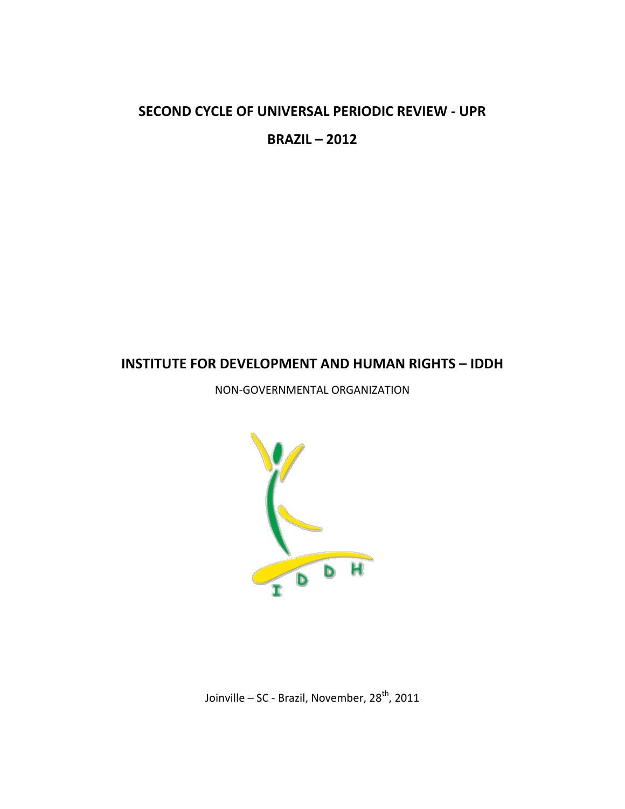# **SECOND CYCLE OF UNIVERSAL PERIODIC REVIEW - UPR**

**BRAZIL – 2012**

# **INSTITUTE FOR DEVELOPMENT AND HUMAN RIGHTS – IDDH**

NON-GOVERNMENTAL ORGANIZATION



Joinville – SC - Brazil, November, 28<sup>th</sup>, 2011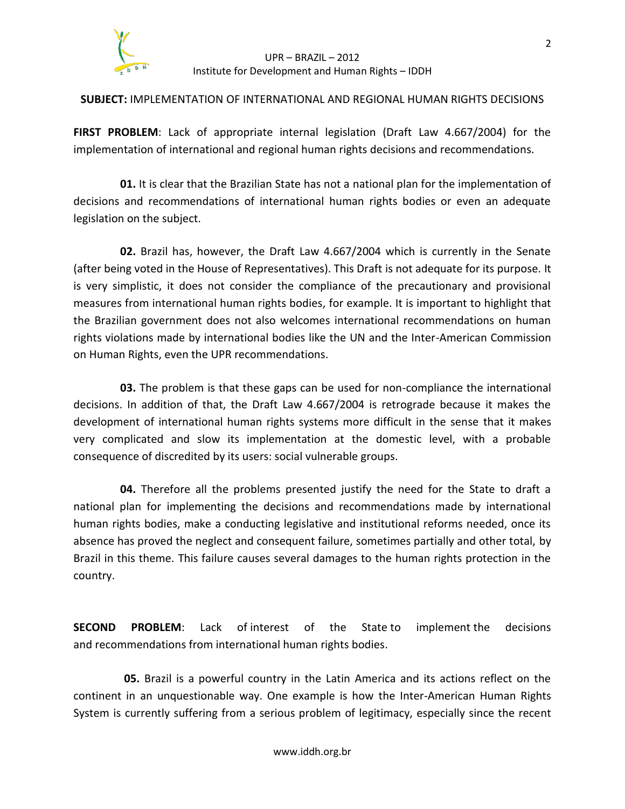

### UPR – BRAZIL – 2012 Institute for Development and Human Rights – IDDH

## **SUBJECT:** IMPLEMENTATION OF INTERNATIONAL AND REGIONAL HUMAN RIGHTS DECISIONS

**FIRST PROBLEM**: Lack of appropriate internal legislation (Draft Law 4.667/2004) for the implementation of international and regional human rights decisions and recommendations.

**01.** It is clear that the Brazilian State has not a national plan for the implementation of decisions and recommendations of international human rights bodies or even an adequate legislation on the subject.

**02.** Brazil has, however, the Draft Law 4.667/2004 which is currently in the Senate (after being voted in the House of Representatives). This Draft is not adequate for its purpose. It is very simplistic, it does not consider the compliance of the precautionary and provisional measures from international human rights bodies, for example. It is important to highlight that the Brazilian government does not also welcomes international recommendations on human rights violations made by international bodies like the UN and the Inter-American Commission on Human Rights, even the UPR recommendations.

**03.** The problem is that these gaps can be used for non-compliance the international decisions. In addition of that, the Draft Law 4.667/2004 is retrograde because it makes the development of international human rights systems more difficult in the sense that it makes very complicated and slow its implementation at the domestic level, with a probable consequence of discredited by its users: social vulnerable groups.

**04.** Therefore all the problems presented justify the need for the State to draft a national plan for implementing the decisions and recommendations made by international human rights bodies, make a conducting legislative and institutional reforms needed, once its absence has proved the neglect and consequent failure, sometimes partially and other total, by Brazil in this theme. This failure causes several damages to the human rights protection in the country.

**SECOND PROBLEM**: Lack of interest of the State to implement the decisions and recommendations from international human rights bodies.

**05.** Brazil is a powerful country in the Latin America and its actions reflect on the continent in an unquestionable way. One example is how the Inter-American Human Rights System is currently suffering from a serious problem of legitimacy, especially since the recent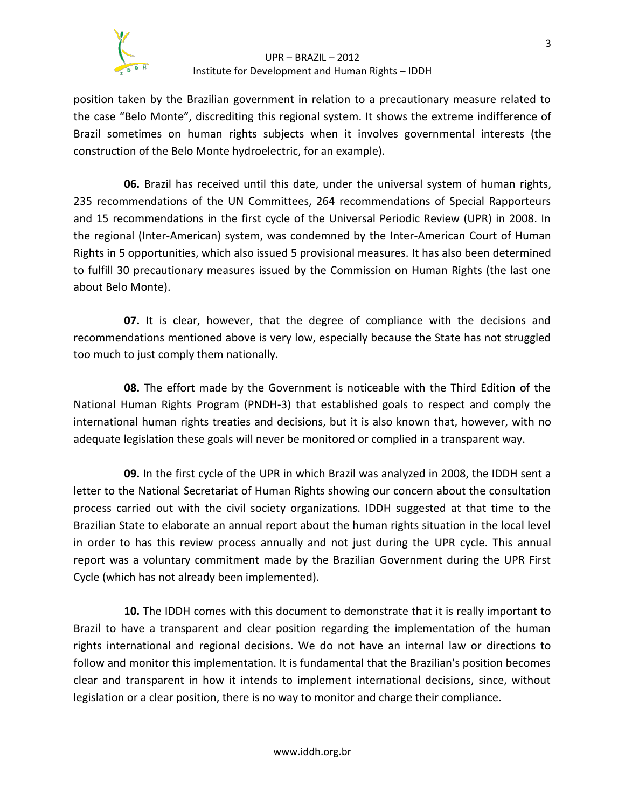

#### UPR – BRAZIL – 2012 Institute for Development and Human Rights – IDDH

position taken by the Brazilian government in relation to a precautionary measure related to the case "Belo Monte", discrediting this regional system. It shows the extreme indifference of Brazil sometimes on human rights subjects when it involves governmental interests (the construction of the Belo Monte hydroelectric, for an example).

**06.** Brazil has received until this date, under the universal system of human rights, 235 recommendations of the UN Committees, 264 recommendations of Special Rapporteurs and 15 recommendations in the first cycle of the Universal Periodic Review (UPR) in 2008. In the regional (Inter-American) system, was condemned by the Inter-American Court of Human Rights in 5 opportunities, which also issued 5 provisional measures. It has also been determined to fulfill 30 precautionary measures issued by the Commission on Human Rights (the last one about Belo Monte).

**07.** It is clear, however, that the degree of compliance with the decisions and recommendations mentioned above is very low, especially because the State has not struggled too much to just comply them nationally.

**08.** The effort made by the Government is noticeable with the Third Edition of the National Human Rights Program (PNDH-3) that established goals to respect and comply the international human rights treaties and decisions, but it is also known that, however, with no adequate legislation these goals will never be monitored or complied in a transparent way.

**09.** In the first cycle of the UPR in which Brazil was analyzed in 2008, the IDDH sent a letter to the National Secretariat of Human Rights showing our concern about the consultation process carried out with the civil society organizations. IDDH suggested at that time to the Brazilian State to elaborate an annual report about the human rights situation in the local level in order to has this review process annually and not just during the UPR cycle. This annual report was a voluntary commitment made by the Brazilian Government during the UPR First Cycle (which has not already been implemented).

**10.** The IDDH comes with this document to demonstrate that it is really important to Brazil to have a transparent and clear position regarding the implementation of the human rights international and regional decisions. We do not have an internal law or directions to follow and monitor this implementation. It is fundamental that the Brazilian's position becomes clear and transparent in how it intends to implement international decisions, since, without legislation or a clear position, there is no way to monitor and charge their compliance.